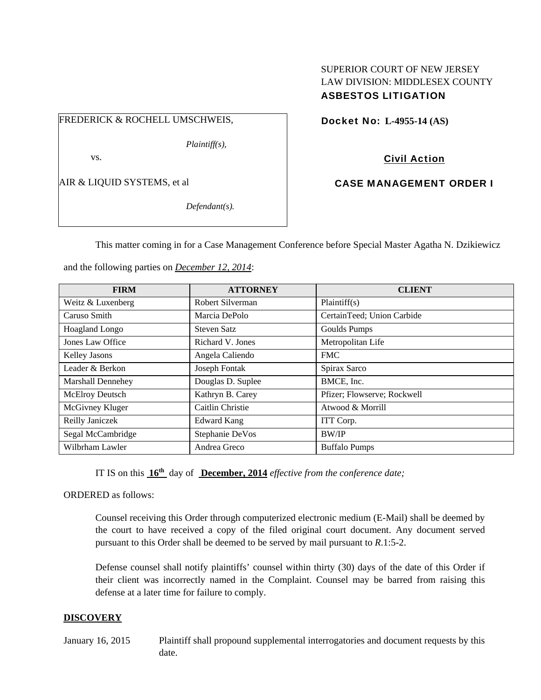# SUPERIOR COURT OF NEW JERSEY LAW DIVISION: MIDDLESEX COUNTY ASBESTOS LITIGATION

FREDERICK & ROCHELL UMSCHWEIS,

*Plaintiff(s),* 

vs.

AIR & LIQUID SYSTEMS, et al

*Defendant(s).* 

Docket No: **L-4955-14 (AS)** 

Civil Action

CASE MANAGEMENT ORDER I

This matter coming in for a Case Management Conference before Special Master Agatha N. Dzikiewicz

and the following parties on *December 12, 2014*:

| <b>FIRM</b>              | <b>ATTORNEY</b>    | <b>CLIENT</b>               |
|--------------------------|--------------------|-----------------------------|
| Weitz & Luxenberg        | Robert Silverman   | Plaintiff(s)                |
| Caruso Smith             | Marcia DePolo      | CertainTeed; Union Carbide  |
| Hoagland Longo           | <b>Steven Satz</b> | Goulds Pumps                |
| Jones Law Office         | Richard V. Jones   | Metropolitan Life           |
| Kelley Jasons            | Angela Caliendo    | <b>FMC</b>                  |
| Leader & Berkon          | Joseph Fontak      | Spirax Sarco                |
| <b>Marshall Dennehey</b> | Douglas D. Suplee  | BMCE, Inc.                  |
| McElroy Deutsch          | Kathryn B. Carey   | Pfizer; Flowserve; Rockwell |
| McGivney Kluger          | Caitlin Christie   | Atwood & Morrill            |
| Reilly Janiczek          | <b>Edward Kang</b> | ITT Corp.                   |
| Segal McCambridge        | Stephanie DeVos    | <b>BW/IP</b>                |
| Wilbrham Lawler          | Andrea Greco       | <b>Buffalo Pumps</b>        |

IT IS on this **16th** day of **December, 2014** *effective from the conference date;*

ORDERED as follows:

Counsel receiving this Order through computerized electronic medium (E-Mail) shall be deemed by the court to have received a copy of the filed original court document. Any document served pursuant to this Order shall be deemed to be served by mail pursuant to *R*.1:5-2.

Defense counsel shall notify plaintiffs' counsel within thirty (30) days of the date of this Order if their client was incorrectly named in the Complaint. Counsel may be barred from raising this defense at a later time for failure to comply.

# **DISCOVERY**

January 16, 2015 Plaintiff shall propound supplemental interrogatories and document requests by this date.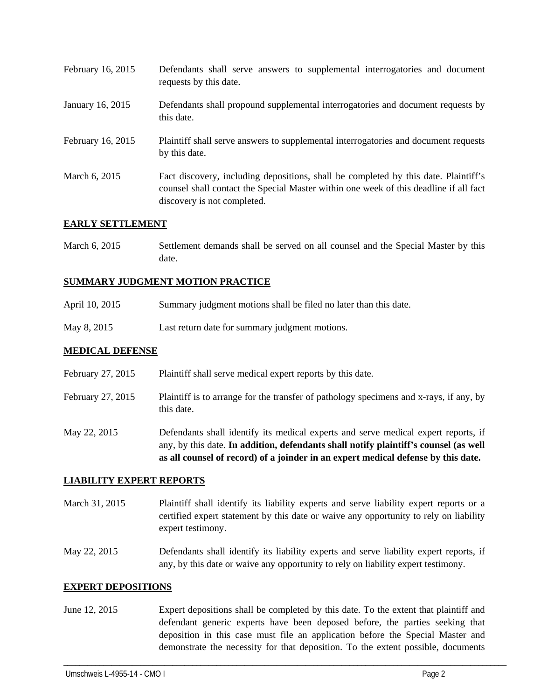| February 16, 2015 | Defendants shall serve answers to supplemental interrogatories and document<br>requests by this date.                                                                                                       |
|-------------------|-------------------------------------------------------------------------------------------------------------------------------------------------------------------------------------------------------------|
| January 16, 2015  | Defendants shall propound supplemental interrogatories and document requests by<br>this date.                                                                                                               |
| February 16, 2015 | Plaintiff shall serve answers to supplemental interrogatories and document requests<br>by this date.                                                                                                        |
| March 6, 2015     | Fact discovery, including depositions, shall be completed by this date. Plaintiff's<br>counsel shall contact the Special Master within one week of this deadline if all fact<br>discovery is not completed. |

## **EARLY SETTLEMENT**

March 6, 2015 Settlement demands shall be served on all counsel and the Special Master by this date.

# **SUMMARY JUDGMENT MOTION PRACTICE**

- April 10, 2015 Summary judgment motions shall be filed no later than this date.
- May 8, 2015 Last return date for summary judgment motions.

## **MEDICAL DEFENSE**

|                   | as all counsel of record) of a joinder in an expert medical defense by this date.                    |
|-------------------|------------------------------------------------------------------------------------------------------|
|                   | any, by this date. In addition, defendants shall notify plaintiff's counsel (as well                 |
| May 22, 2015      | Defendants shall identify its medical experts and serve medical expert reports, if                   |
| February 27, 2015 | Plaintiff is to arrange for the transfer of pathology specimens and x-rays, if any, by<br>this date. |
| February 27, 2015 | Plaintiff shall serve medical expert reports by this date.                                           |

### **LIABILITY EXPERT REPORTS**

- March 31, 2015 Plaintiff shall identify its liability experts and serve liability expert reports or a certified expert statement by this date or waive any opportunity to rely on liability expert testimony.
- May 22, 2015 Defendants shall identify its liability experts and serve liability expert reports, if any, by this date or waive any opportunity to rely on liability expert testimony.

### **EXPERT DEPOSITIONS**

June 12, 2015 Expert depositions shall be completed by this date. To the extent that plaintiff and defendant generic experts have been deposed before, the parties seeking that deposition in this case must file an application before the Special Master and demonstrate the necessity for that deposition. To the extent possible, documents

\_\_\_\_\_\_\_\_\_\_\_\_\_\_\_\_\_\_\_\_\_\_\_\_\_\_\_\_\_\_\_\_\_\_\_\_\_\_\_\_\_\_\_\_\_\_\_\_\_\_\_\_\_\_\_\_\_\_\_\_\_\_\_\_\_\_\_\_\_\_\_\_\_\_\_\_\_\_\_\_\_\_\_\_\_\_\_\_\_\_\_\_\_\_\_\_\_\_\_\_\_\_\_\_\_\_\_\_\_\_